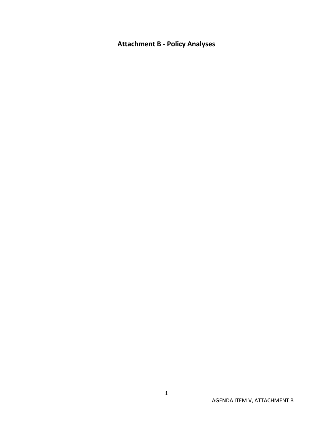# **Attachment B - Policy Analyses**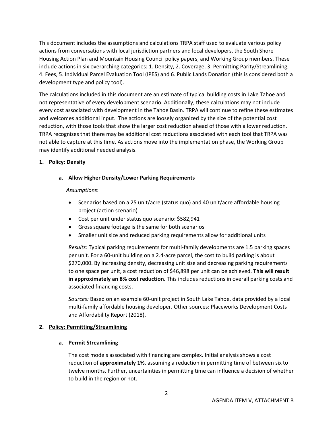This document includes the assumptions and calculations TRPA staff used to evaluate various policy actions from conversations with local jurisdiction partners and local developers, the South Shore Housing Action Plan and Mountain Housing Council policy papers, and Working Group members. These include actions in six overarching categories: 1. Density, 2. Coverage, 3. Permitting Parity/Streamlining, 4. Fees, 5. Individual Parcel Evaluation Tool (IPES) and 6. Public Lands Donation (this is considered both a development type and policy tool).

The calculations included in this document are an estimate of typical building costs in Lake Tahoe and not representative of every development scenario. Additionally, these calculations may not include every cost associated with development in the Tahoe Basin. TRPA will continue to refine these estimates and welcomes additional input. The actions are loosely organized by the size of the potential cost reduction, with those tools that show the larger cost reduction ahead of those with a lower reduction. TRPA recognizes that there may be additional cost reductions associated with each tool that TRPA was not able to capture at this time. As actions move into the implementation phase, the Working Group may identify additional needed analysis.

## **1. Policy: Density**

**a. Allow Higher Density/Lower Parking Requirements**

## *Assumptions*:

- Scenarios based on a 25 unit/acre (status quo) and 40 unit/acre affordable housing project (action scenario)
- Cost per unit under status quo scenario: \$582,941
- Gross square footage is the same for both scenarios
- Smaller unit size and reduced parking requirements allow for additional units

*Results:* Typical parking requirements for multi-family developments are 1.5 parking spaces per unit. For a 60-unit building on a 2.4-acre parcel, the cost to build parking is about \$270,000. By increasing density, decreasing unit size and decreasing parking requirements to one space per unit, a cost reduction of \$46,898 per unit can be achieved. **This will result in approximately an 8% cost reduction.** This includes reductions in overall parking costs and associated financing costs.

*Sources:* Based on an example 60-unit project in South Lake Tahoe, data provided by a local multi-family affordable housing developer. Other sources: Placeworks Development Costs and Affordability Report (2018).

## **2. Policy: Permitting/Streamlining**

## **a. Permit Streamlining**

The cost models associated with financing are complex. Initial analysis shows a cost reduction of **approximately 1%**, assuming a reduction in permitting time of between six to twelve months. Further, uncertainties in permitting time can influence a decision of whether to build in the region or not.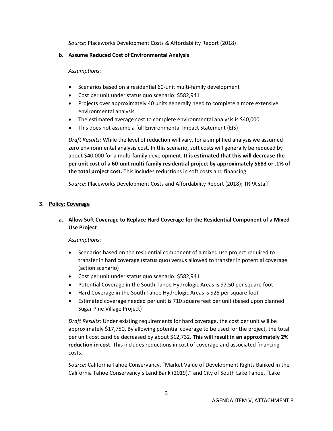*Source:* Placeworks Development Costs & Affordability Report (2018)

## **b. Assume Reduced Cost of Environmental Analysis**

#### *Assumptions*:

- Scenarios based on a residential 60-unit multi-family development
- Cost per unit under status quo scenario: \$582,941
- Projects over approximately 40 units generally need to complete a more extensive environmental analysis
- The estimated average cost to complete environmental analysis is \$40,000
- This does not assume a full Environmental Impact Statement (EIS)

*Draft Results:* While the level of reduction will vary, for a simplified analysis we assumed zero environmental analysis cost. In this scenario, soft costs will generally be reduced by about \$40,000 for a multi-family development. **It is estimated that this will decrease the per unit cost of a 60-unit multi-family residential project by approximately \$683 or .1% of the total project cost.** This includes reductions in soft costs and financing.

*Source:* Placeworks Development Costs and Affordability Report (2018); TRPA staff

## **3. Policy: Coverage**

## **a. Allow Soft Coverage to Replace Hard Coverage for the Residential Component of a Mixed Use Project**

## *Assumptions*:

- Scenarios based on the residential component of a mixed use project required to transfer in hard coverage (status quo) versus allowed to transfer in potential coverage (action scenario)
- Cost per unit under status quo scenario: \$582,941
- Potential Coverage in the South Tahoe Hydrologic Areas is \$7.50 per square foot
- Hard Coverage in the South Tahoe Hydrologic Areas is \$25 per square foot
- Estimated coverage needed per unit is 710 square feet per unit (based upon planned Sugar Pine Village Project)

*Draft Results:* Under existing requirements for hard coverage, the cost per unit will be approximately \$17,750. By allowing potential coverage to be used for the project, the total per unit cost cand be decreased by about \$12,732. **This will result in an approximately 2% reduction in cost**. This includes reductions in cost of coverage and associated financing costs.

*Source:* California Tahoe Conservancy, "Market Value of Development Rights Banked in the California Tahoe Conservancy's Land Bank (2019)," and City of South Lake Tahoe, "Lake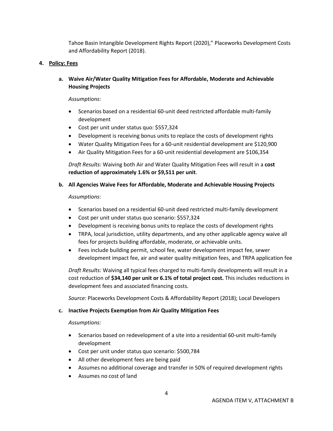Tahoe Basin Intangible Development Rights Report (2020)," Placeworks Development Costs and Affordability Report (2018).

#### **4. Policy: Fees**

**a. Waive Air/Water Quality Mitigation Fees for Affordable, Moderate and Achievable Housing Projects**

#### *Assumptions*:

- Scenarios based on a residential 60-unit deed restricted affordable multi-family development
- Cost per unit under status quo: \$557,324
- Development is receiving bonus units to replace the costs of development rights
- Water Quality Mitigation Fees for a 60-unit residential development are \$120,900
- Air Quality Mitigation Fees for a 60-unit residential development are \$106,354

*Draft Results:* Waiving both Air and Water Quality Mitigation Fees will result in a **cost reduction of approximately 1.6% or \$9,511 per unit**.

**b. All Agencies Waive Fees for Affordable, Moderate and Achievable Housing Projects**

#### *Assumptions*:

- Scenarios based on a residential 60-unit deed restricted multi-family development
- Cost per unit under status quo scenario: \$557,324
- Development is receiving bonus units to replace the costs of development rights
- TRPA, local jurisdiction, utility departments, and any other applicable agency waive all fees for projects building affordable, moderate, or achievable units.
- Fees include building permit, school fee, water development impact fee, sewer development impact fee, air and water quality mitigation fees, and TRPA application fee

*Draft Results:* Waiving all typical fees charged to multi-family developments will result in a cost reduction of **\$34,140 per unit or 6.1% of total project cost.** This includes reductions in development fees and associated financing costs.

*Source:* Placeworks Development Costs & Affordability Report (2018); Local Developers

## **c. Inactive Projects Exemption from Air Quality Mitigation Fees**

## *Assumptions:*

- Scenarios based on redevelopment of a site into a residential 60-unit multi-family development
- Cost per unit under status quo scenario: \$500,784
- All other development fees are being paid
- Assumes no additional coverage and transfer in 50% of required development rights
- Assumes no cost of land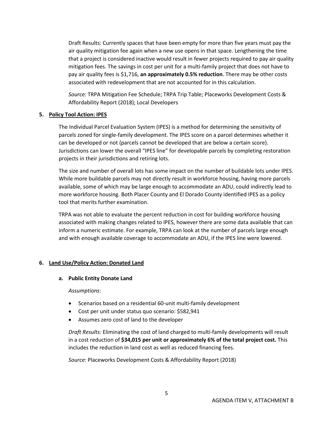Draft Results: Currently spaces that have been empty for more than five years must pay the air quality mitigation fee again when a new use opens in that space. Lengthening the time that a project is considered inactive would result in fewer projects required to pay air quality mitigation fees. The savings in cost per unit for a multi-family project that does not have to pay air quality fees is \$1,716, **an approximately 0.5% reduction**. There may be other costs associated with redevelopment that are not accounted for in this calculation.

*Source:* TRPA Mitigation Fee Schedule; TRPA Trip Table; Placeworks Development Costs & Affordability Report (2018); Local Developers

## **5. Policy Tool Action: IPES**

The Individual Parcel Evaluation System (IPES) is a method for determining the sensitivity of parcels zoned for single-family development. The IPES score on a parcel determines whether it can be developed or not (parcels cannot be developed that are below a certain score). Jurisdictions can lower the overall "IPES line" for developable parcels by completing restoration projects in their jurisdictions and retiring lots.

The size and number of overall lots has some impact on the number of buildable lots under IPES. While more buildable parcels may not directly result in workforce housing, having more parcels available, some of which may be large enough to accommodate an ADU, could indirectly lead to more workforce housing. Both Placer County and El Dorado County identified IPES as a policy tool that merits further examination.

TRPA was not able to evaluate the percent reduction in cost for building workforce housing associated with making changes related to IPES, however there are some data available that can inform a numeric estimate. For example, TRPA can look at the number of parcels large enough and with enough available coverage to accommodate an ADU, if the IPES line were lowered.

## **6. Land Use/Policy Action: Donated Land**

## **a. Public Entity Donate Land**

*Assumptions*:

- Scenarios based on a residential 60-unit multi-family development
- Cost per unit under status quo scenario: \$582,941
- Assumes zero cost of land to the developer

*Draft Results:* Eliminating the cost of land charged to multi-family developments will result in a cost reduction of **\$34,015 per unit or approximately 6% of the total project cost.** This includes the reduction in land cost as well as reduced financing fees.

*Source:* Placeworks Development Costs & Affordability Report (2018)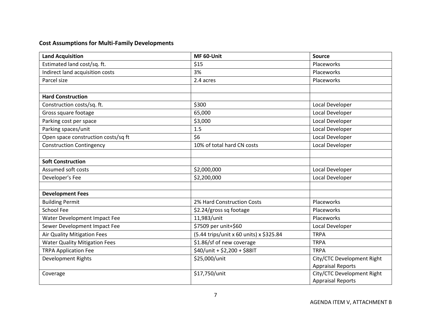## **Cost Assumptions for Multi-Family Developments**

| <b>Land Acquisition</b>              | MF 60-Unit                              | Source                     |
|--------------------------------------|-----------------------------------------|----------------------------|
| Estimated land cost/sq. ft.          | \$15                                    | Placeworks                 |
| Indirect land acquisition costs      | 3%                                      | Placeworks                 |
| Parcel size                          | 2.4 acres                               | Placeworks                 |
|                                      |                                         |                            |
| <b>Hard Construction</b>             |                                         |                            |
| Construction costs/sq. ft.           | \$300                                   | Local Developer            |
| Gross square footage                 | 65,000                                  | Local Developer            |
| Parking cost per space               | \$3,000                                 | Local Developer            |
| Parking spaces/unit                  | 1.5                                     | Local Developer            |
| Open space construction costs/sq ft  | \$6                                     | Local Developer            |
| <b>Construction Contingency</b>      | 10% of total hard CN costs              | Local Developer            |
|                                      |                                         |                            |
| <b>Soft Construction</b>             |                                         |                            |
| Assumed soft costs                   | \$2,000,000                             | Local Developer            |
| Developer's Fee                      | \$2,200,000                             | Local Developer            |
|                                      |                                         |                            |
| <b>Development Fees</b>              |                                         |                            |
| <b>Building Permit</b>               | 2% Hard Construction Costs              | Placeworks                 |
| <b>School Fee</b>                    | \$2.24/gross sq footage                 | Placeworks                 |
| Water Development Impact Fee         | 11,983/unit                             | Placeworks                 |
| Sewer Development Impact Fee         | \$7509 per unit+\$60                    | Local Developer            |
| Air Quality Mitigation Fees          | (5.44 trips/unit x 60 units) x \$325.84 | <b>TRPA</b>                |
| <b>Water Quality Mitigation Fees</b> | \$1.86/sf of new coverage               | <b>TRPA</b>                |
| <b>TRPA Application Fee</b>          | \$40/unit + \$2,200 + \$88IT            | <b>TRPA</b>                |
| Development Rights                   | \$25,000/unit                           | City/CTC Development Right |
|                                      |                                         | <b>Appraisal Reports</b>   |
| Coverage                             | \$17,750/unit                           | City/CTC Development Right |
|                                      |                                         | <b>Appraisal Reports</b>   |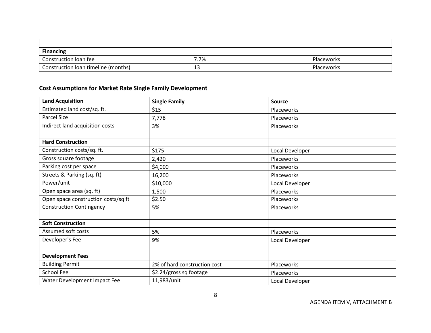| <b>Financing</b>                    |      |            |
|-------------------------------------|------|------------|
| Construction loan fee               | 7.7% | Placeworks |
| Construction loan timeline (months) | د⊥   | Placeworks |

## **Cost Assumptions for Market Rate Single Family Development**

| <b>Land Acquisition</b>             | <b>Single Family</b>         | <b>Source</b>   |
|-------------------------------------|------------------------------|-----------------|
| Estimated land cost/sq. ft.         | \$15                         | Placeworks      |
| Parcel Size                         | 7,778                        | Placeworks      |
| Indirect land acquisition costs     | 3%                           | Placeworks      |
|                                     |                              |                 |
| <b>Hard Construction</b>            |                              |                 |
| Construction costs/sq. ft.          | \$175                        | Local Developer |
| Gross square footage                | 2,420                        | Placeworks      |
| Parking cost per space              | \$4,000                      | Placeworks      |
| Streets & Parking (sq. ft)          | 16,200                       | Placeworks      |
| Power/unit                          | \$10,000                     | Local Developer |
| Open space area (sq. ft)            | 1,500                        | Placeworks      |
| Open space construction costs/sq ft | \$2.50                       | Placeworks      |
| <b>Construction Contingency</b>     | 5%                           | Placeworks      |
|                                     |                              |                 |
| <b>Soft Construction</b>            |                              |                 |
| Assumed soft costs                  | 5%                           | Placeworks      |
| Developer's Fee                     | 9%                           | Local Developer |
|                                     |                              |                 |
| <b>Development Fees</b>             |                              |                 |
| <b>Building Permit</b>              | 2% of hard construction cost | Placeworks      |
| School Fee                          | \$2.24/gross sq footage      | Placeworks      |
| Water Development Impact Fee        | 11,983/unit                  | Local Developer |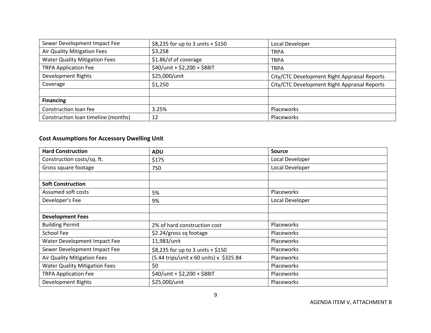| Sewer Development Impact Fee         | \$8,235 for up to 3 units $+$ \$150 | Local Developer                              |
|--------------------------------------|-------------------------------------|----------------------------------------------|
| Air Quality Mitigation Fees          | \$3,258                             | <b>TRPA</b>                                  |
| <b>Water Quality Mitigation Fees</b> | \$1.86/sf of coverage               | <b>TRPA</b>                                  |
| <b>TRPA Application Fee</b>          | \$40/unit + \$2,200 + \$88IT        | <b>TRPA</b>                                  |
| Development Rights                   | \$25,000/unit                       | City/CTC Development Right Appraisal Reports |
| Coverage                             | \$1,250                             | City/CTC Development Right Appraisal Reports |
|                                      |                                     |                                              |
| <b>Financing</b>                     |                                     |                                              |
| Construction loan fee                | 3.25%                               | Placeworks                                   |
| Construction loan timeline (months)  | 12                                  | Placeworks                                   |

# **Cost Assumptions for Accessory Dwelling Unit**

| <b>Hard Construction</b>             | <b>ADU</b>                              | <b>Source</b>     |
|--------------------------------------|-----------------------------------------|-------------------|
| Construction costs/sq. ft.           | \$175                                   | Local Developer   |
| Gross square footage                 | 750                                     | Local Developer   |
|                                      |                                         |                   |
| <b>Soft Construction</b>             |                                         |                   |
| Assumed soft costs                   | 5%                                      | Placeworks        |
| Developer's Fee                      | 9%                                      | Local Developer   |
|                                      |                                         |                   |
| <b>Development Fees</b>              |                                         |                   |
| <b>Building Permit</b>               | 2% of hard construction cost            | Placeworks        |
| School Fee                           | $$2.24/gross$ sq footage                | Placeworks        |
| Water Development Impact Fee         | 11,983/unit                             | Placeworks        |
| Sewer Development Impact Fee         | \$8,235 for up to 3 units + \$150       | Placeworks        |
| Air Quality Mitigation Fees          | (5.44 trips/unit x 60 units) x \$325.84 | Placeworks        |
| <b>Water Quality Mitigation Fees</b> | \$0                                     | <b>Placeworks</b> |
| <b>TRPA Application Fee</b>          | \$40/unit + \$2,200 + \$88IT            | <b>Placeworks</b> |
| <b>Development Rights</b>            | \$25,000/unit                           | Placeworks        |